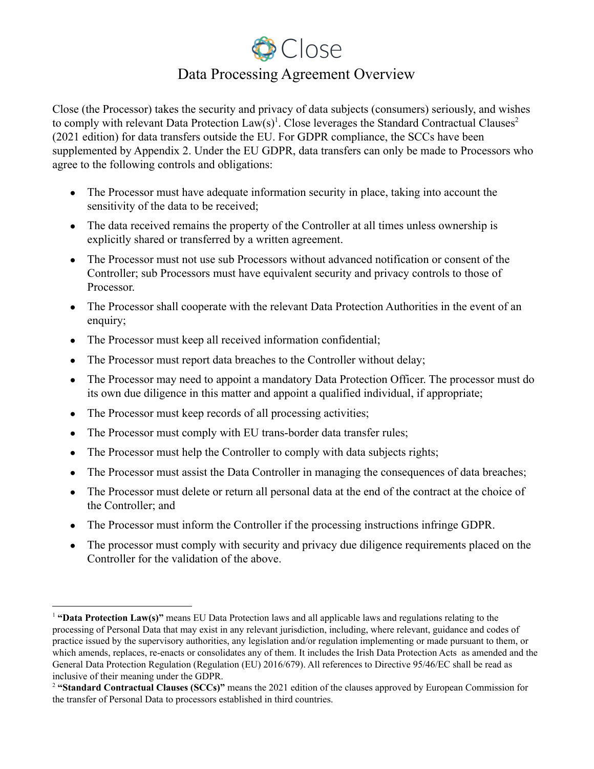

Close (the Processor) takes the security and privacy of data subjects (consumers) seriously, and wishes to comply with relevant Data Protection  $Law(s)^1$ . Close leverages the Standard Contractual Clauses<sup>2</sup> (2021 edition) for data transfers outside the EU. For GDPR compliance, the SCCs have been supplemented by Appendix 2. Under the EU GDPR, data transfers can only be made to Processors who agree to the following controls and obligations:

- The Processor must have adequate information security in place, taking into account the sensitivity of the data to be received;
- The data received remains the property of the Controller at all times unless ownership is explicitly shared or transferred by a written agreement.
- The Processor must not use sub Processors without advanced notification or consent of the Controller; sub Processors must have equivalent security and privacy controls to those of Processor.
- The Processor shall cooperate with the relevant Data Protection Authorities in the event of an enquiry;
- The Processor must keep all received information confidential;
- The Processor must report data breaches to the Controller without delay;
- The Processor may need to appoint a mandatory Data Protection Officer. The processor must do its own due diligence in this matter and appoint a qualified individual, if appropriate;
- The Processor must keep records of all processing activities;
- The Processor must comply with EU trans-border data transfer rules;
- The Processor must help the Controller to comply with data subjects rights;
- The Processor must assist the Data Controller in managing the consequences of data breaches;
- The Processor must delete or return all personal data at the end of the contract at the choice of the Controller; and
- The Processor must inform the Controller if the processing instructions infringe GDPR.
- The processor must comply with security and privacy due diligence requirements placed on the Controller for the validation of the above.

<sup>1</sup> **"Data Protection Law(s)"** means EU Data Protection laws and all applicable laws and regulations relating to the processing of Personal Data that may exist in any relevant jurisdiction, including, where relevant, guidance and codes of practice issued by the supervisory authorities, any legislation and/or regulation implementing or made pursuant to them, or which amends, replaces, re-enacts or consolidates any of them. It includes the Irish Data Protection Acts as amended and the General Data Protection Regulation (Regulation (EU) 2016/679). All references to Directive 95/46/EC shall be read as inclusive of their meaning under the GDPR.

<sup>2</sup> **"Standard Contractual Clauses (SCCs)"** means the 2021 edition of the clauses approved by European Commission for the transfer of Personal Data to processors established in third countries.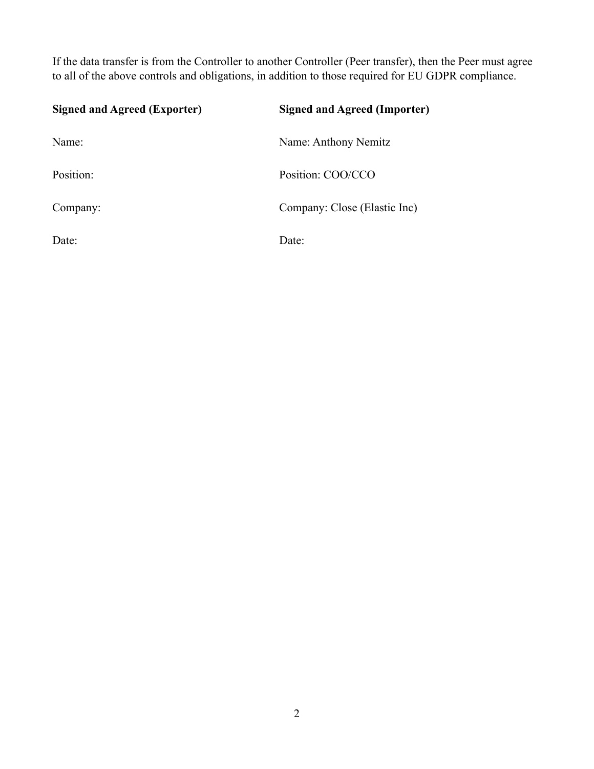If the data transfer is from the Controller to another Controller (Peer transfer), then the Peer must agree to all of the above controls and obligations, in addition to those required for EU GDPR compliance.

| <b>Signed and Agreed (Exporter)</b> | <b>Signed and Agreed (Importer)</b> |
|-------------------------------------|-------------------------------------|
| Name:                               | Name: Anthony Nemitz                |
| Position:                           | Position: COO/CCO                   |
| Company:                            | Company: Close (Elastic Inc)        |
| Date:                               | Date:                               |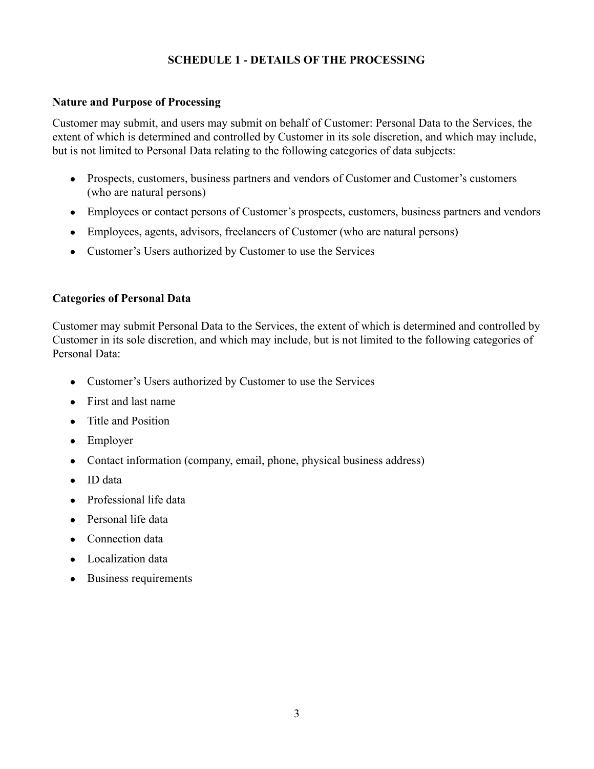# **SCHEDULE 1 - DETAILS OF THE PROCESSING**

### **Nature and Purpose of Processing**

Customer may submit, and users may submit on behalf of Customer: Personal Data to the Services, the extent of which is determined and controlled by Customer in its sole discretion, and which may include, but is not limited to Personal Data relating to the following categories of data subjects:

- Prospects, customers, business partners and vendors of Customer and Customer's customers (who are natural persons)
- Employees or contact persons of Customer's prospects, customers, business partners and vendors
- Employees, agents, advisors, freelancers of Customer (who are natural persons)
- Customer's Users authorized by Customer to use the Services

### **Categories of Personal Data**

Customer may submit Personal Data to the Services, the extent of which is determined and controlled by Customer in its sole discretion, and which may include, but is not limited to the following categories of Personal Data:

- Customer's Users authorized by Customer to use the Services
- First and last name
- Title and Position
- Employer
- Contact information (company, email, phone, physical business address)
- ID data
- Professional life data
- Personal life data
- Connection data
- Localization data
- Business requirements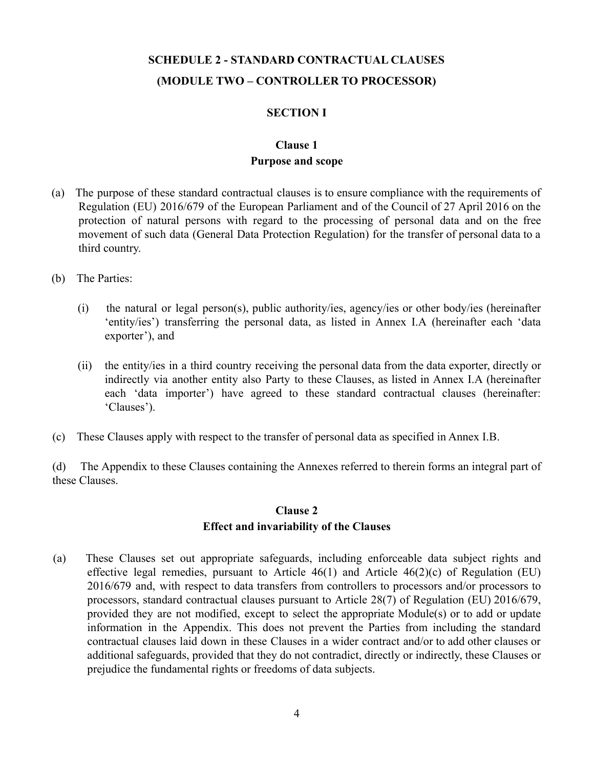# **SCHEDULE 2 - STANDARD CONTRACTUAL CLAUSES (MODULE TWO – CONTROLLER TO PROCESSOR)**

## **SECTION I**

# **Clause 1 Purpose and scope**

- (a) The purpose of these standard contractual clauses is to ensure compliance with the requirements of Regulation (EU) 2016/679 of the European Parliament and of the Council of 27 April 2016 on the protection of natural persons with regard to the processing of personal data and on the free movement of such data (General Data Protection Regulation) for the transfer of personal data to a third country.
- (b) The Parties:
	- (i) the natural or legal person(s), public authority/ies, agency/ies or other body/ies (hereinafter 'entity/ies') transferring the personal data, as listed in Annex I.A (hereinafter each 'data exporter'), and
	- (ii) the entity/ies in a third country receiving the personal data from the data exporter, directly or indirectly via another entity also Party to these Clauses, as listed in Annex I.A (hereinafter each 'data importer') have agreed to these standard contractual clauses (hereinafter: 'Clauses').
- (c) These Clauses apply with respect to the transfer of personal data as specified in Annex I.B.

(d) The Appendix to these Clauses containing the Annexes referred to therein forms an integral part of these Clauses.

### **Clause 2 Effect and invariability of the Clauses**

(a) These Clauses set out appropriate safeguards, including enforceable data subject rights and effective legal remedies, pursuant to Article  $46(1)$  and Article  $46(2)(c)$  of Regulation (EU) 2016/679 and, with respect to data transfers from controllers to processors and/or processors to processors, standard contractual clauses pursuant to Article 28(7) of Regulation (EU) 2016/679, provided they are not modified, except to select the appropriate Module(s) or to add or update information in the Appendix. This does not prevent the Parties from including the standard contractual clauses laid down in these Clauses in a wider contract and/or to add other clauses or additional safeguards, provided that they do not contradict, directly or indirectly, these Clauses or prejudice the fundamental rights or freedoms of data subjects.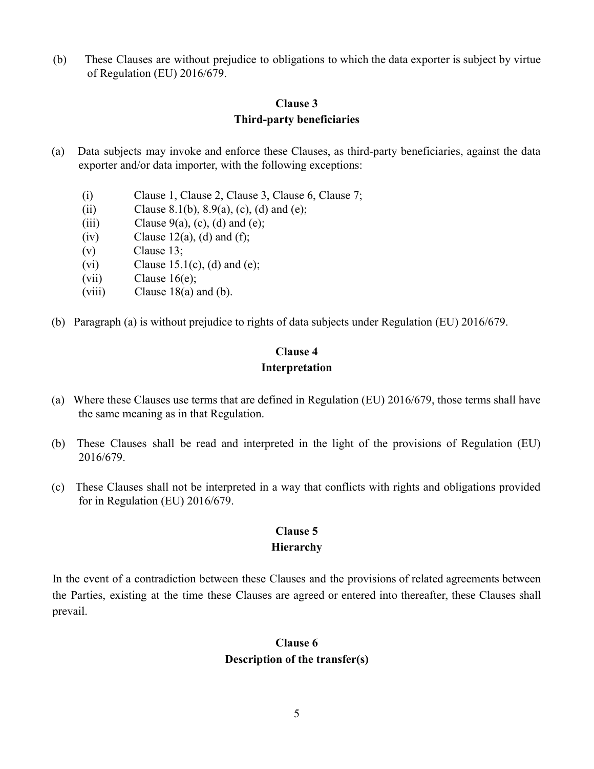(b) These Clauses are without prejudice to obligations to which the data exporter is subject by virtue of Regulation (EU) 2016/679.

### **Clause 3 Third-party beneficiaries**

- (a) Data subjects may invoke and enforce these Clauses, as third-party beneficiaries, against the data exporter and/or data importer, with the following exceptions:
	- (i) Clause 1, Clause 2, Clause 3, Clause 6, Clause 7;
	- (ii) Clause 8.1(b), 8.9(a), (c), (d) and (e);
	- (iii) Clause  $9(a)$ , (c), (d) and (e);
	- (iv) Clause  $12(a)$ , (d) and (f);
	- (v) Clause 13;
	- (vi) Clause 15.1(c), (d) and (e);
	- (vii) Clause  $16(e)$ ;
	- (viii) Clause  $18(a)$  and (b).
- (b) Paragraph (a) is without prejudice to rights of data subjects under Regulation (EU) 2016/679.

## **Clause 4 Interpretation**

- (a) Where these Clauses use terms that are defined in Regulation (EU) 2016/679, those terms shall have the same meaning as in that Regulation.
- (b) These Clauses shall be read and interpreted in the light of the provisions of Regulation (EU) 2016/679.
- (c) These Clauses shall not be interpreted in a way that conflicts with rights and obligations provided for in Regulation (EU) 2016/679.

# **Clause 5 Hierarchy**

In the event of a contradiction between these Clauses and the provisions of related agreements between the Parties, existing at the time these Clauses are agreed or entered into thereafter, these Clauses shall prevail.

### **Clause 6 Description of the transfer(s)**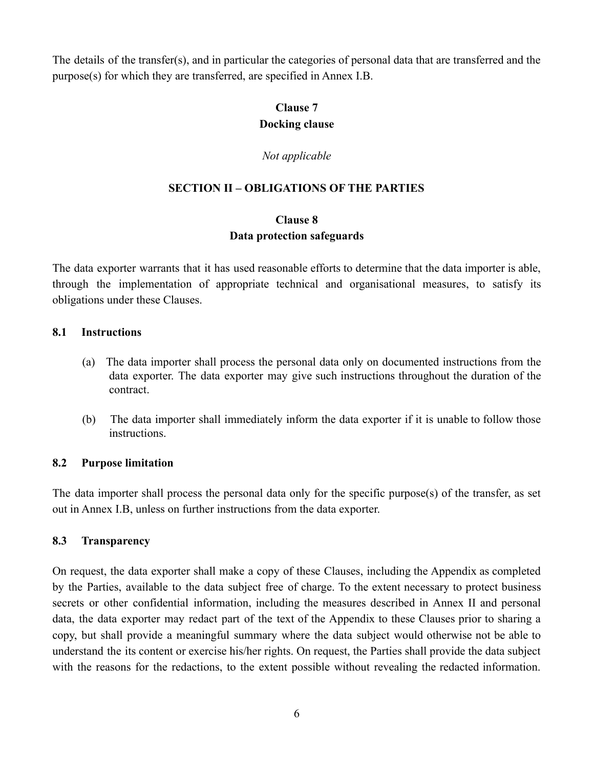The details of the transfer(s), and in particular the categories of personal data that are transferred and the purpose(s) for which they are transferred, are specified in Annex I.B.

# **Clause 7 Docking clause**

### *Not applicable*

### **SECTION II – OBLIGATIONS OF THE PARTIES**

### **Clause 8 Data protection safeguards**

The data exporter warrants that it has used reasonable efforts to determine that the data importer is able, through the implementation of appropriate technical and organisational measures, to satisfy its obligations under these Clauses.

#### **8.1 Instructions**

- (a) The data importer shall process the personal data only on documented instructions from the data exporter. The data exporter may give such instructions throughout the duration of the contract.
- (b) The data importer shall immediately inform the data exporter if it is unable to follow those instructions.

#### **8.2 Purpose limitation**

The data importer shall process the personal data only for the specific purpose(s) of the transfer, as set out in Annex I.B, unless on further instructions from the data exporter.

### **8.3 Transparency**

On request, the data exporter shall make a copy of these Clauses, including the Appendix as completed by the Parties, available to the data subject free of charge. To the extent necessary to protect business secrets or other confidential information, including the measures described in Annex II and personal data, the data exporter may redact part of the text of the Appendix to these Clauses prior to sharing a copy, but shall provide a meaningful summary where the data subject would otherwise not be able to understand the its content or exercise his/her rights. On request, the Parties shall provide the data subject with the reasons for the redactions, to the extent possible without revealing the redacted information.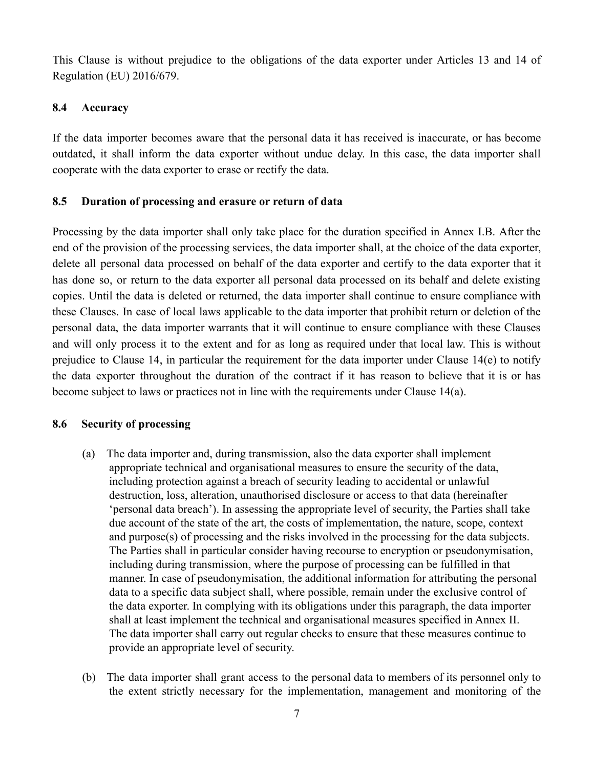This Clause is without prejudice to the obligations of the data exporter under Articles 13 and 14 of Regulation (EU) 2016/679.

### **8.4 Accuracy**

If the data importer becomes aware that the personal data it has received is inaccurate, or has become outdated, it shall inform the data exporter without undue delay. In this case, the data importer shall cooperate with the data exporter to erase or rectify the data.

### **8.5 Duration of processing and erasure or return of data**

Processing by the data importer shall only take place for the duration specified in Annex I.B. After the end of the provision of the processing services, the data importer shall, at the choice of the data exporter, delete all personal data processed on behalf of the data exporter and certify to the data exporter that it has done so, or return to the data exporter all personal data processed on its behalf and delete existing copies. Until the data is deleted or returned, the data importer shall continue to ensure compliance with these Clauses. In case of local laws applicable to the data importer that prohibit return or deletion of the personal data, the data importer warrants that it will continue to ensure compliance with these Clauses and will only process it to the extent and for as long as required under that local law. This is without prejudice to Clause 14, in particular the requirement for the data importer under Clause 14(e) to notify the data exporter throughout the duration of the contract if it has reason to believe that it is or has become subject to laws or practices not in line with the requirements under Clause 14(a).

#### **8.6 Security of processing**

- (a) The data importer and, during transmission, also the data exporter shall implement appropriate technical and organisational measures to ensure the security of the data, including protection against a breach of security leading to accidental or unlawful destruction, loss, alteration, unauthorised disclosure or access to that data (hereinafter 'personal data breach'). In assessing the appropriate level of security, the Parties shall take due account of the state of the art, the costs of implementation, the nature, scope, context and purpose(s) of processing and the risks involved in the processing for the data subjects. The Parties shall in particular consider having recourse to encryption or pseudonymisation, including during transmission, where the purpose of processing can be fulfilled in that manner. In case of pseudonymisation, the additional information for attributing the personal data to a specific data subject shall, where possible, remain under the exclusive control of the data exporter. In complying with its obligations under this paragraph, the data importer shall at least implement the technical and organisational measures specified in Annex II. The data importer shall carry out regular checks to ensure that these measures continue to provide an appropriate level of security.
- (b) The data importer shall grant access to the personal data to members of its personnel only to the extent strictly necessary for the implementation, management and monitoring of the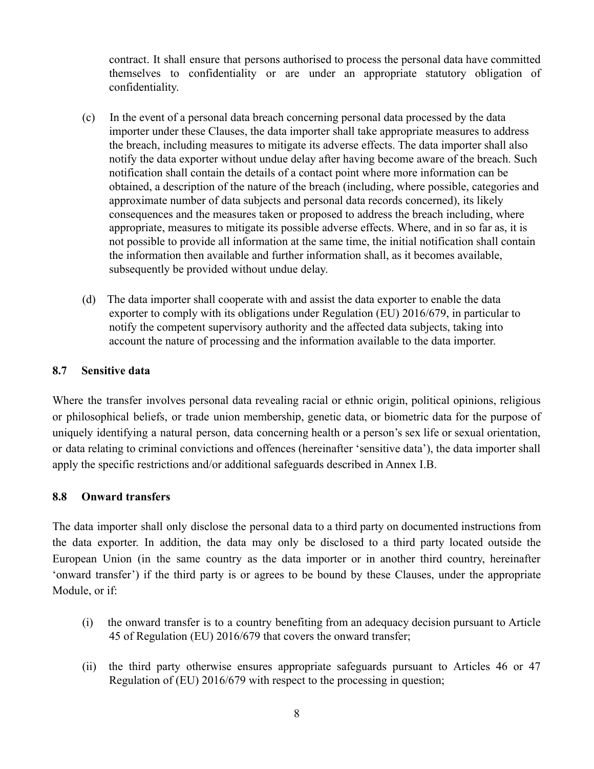contract. It shall ensure that persons authorised to process the personal data have committed themselves to confidentiality or are under an appropriate statutory obligation of confidentiality.

- (c) In the event of a personal data breach concerning personal data processed by the data importer under these Clauses, the data importer shall take appropriate measures to address the breach, including measures to mitigate its adverse effects. The data importer shall also notify the data exporter without undue delay after having become aware of the breach. Such notification shall contain the details of a contact point where more information can be obtained, a description of the nature of the breach (including, where possible, categories and approximate number of data subjects and personal data records concerned), its likely consequences and the measures taken or proposed to address the breach including, where appropriate, measures to mitigate its possible adverse effects. Where, and in so far as, it is not possible to provide all information at the same time, the initial notification shall contain the information then available and further information shall, as it becomes available, subsequently be provided without undue delay.
- (d) The data importer shall cooperate with and assist the data exporter to enable the data exporter to comply with its obligations under Regulation (EU) 2016/679, in particular to notify the competent supervisory authority and the affected data subjects, taking into account the nature of processing and the information available to the data importer.

### **8.7 Sensitive data**

Where the transfer involves personal data revealing racial or ethnic origin, political opinions, religious or philosophical beliefs, or trade union membership, genetic data, or biometric data for the purpose of uniquely identifying a natural person, data concerning health or a person's sex life or sexual orientation, or data relating to criminal convictions and offences (hereinafter 'sensitive data'), the data importer shall apply the specific restrictions and/or additional safeguards described in Annex I.B.

#### **8.8 Onward transfers**

The data importer shall only disclose the personal data to a third party on documented instructions from the data exporter. In addition, the data may only be disclosed to a third party located outside the European Union (in the same country as the data importer or in another third country, hereinafter 'onward transfer') if the third party is or agrees to be bound by these Clauses, under the appropriate Module, or if:

- (i) the onward transfer is to a country benefiting from an adequacy decision pursuant to Article 45 of Regulation (EU) 2016/679 that covers the onward transfer;
- (ii) the third party otherwise ensures appropriate safeguards pursuant to Articles 46 or 47 Regulation of (EU) 2016/679 with respect to the processing in question;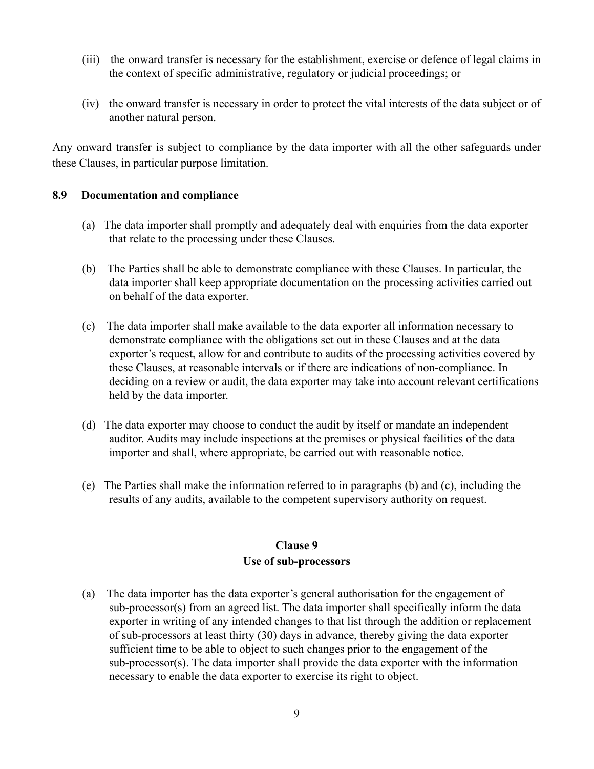- (iii) the onward transfer is necessary for the establishment, exercise or defence of legal claims in the context of specific administrative, regulatory or judicial proceedings; or
- (iv) the onward transfer is necessary in order to protect the vital interests of the data subject or of another natural person.

Any onward transfer is subject to compliance by the data importer with all the other safeguards under these Clauses, in particular purpose limitation.

### **8.9 Documentation and compliance**

- (a) The data importer shall promptly and adequately deal with enquiries from the data exporter that relate to the processing under these Clauses.
- (b) The Parties shall be able to demonstrate compliance with these Clauses. In particular, the data importer shall keep appropriate documentation on the processing activities carried out on behalf of the data exporter.
- (c) The data importer shall make available to the data exporter all information necessary to demonstrate compliance with the obligations set out in these Clauses and at the data exporter's request, allow for and contribute to audits of the processing activities covered by these Clauses, at reasonable intervals or if there are indications of non-compliance. In deciding on a review or audit, the data exporter may take into account relevant certifications held by the data importer.
- (d) The data exporter may choose to conduct the audit by itself or mandate an independent auditor. Audits may include inspections at the premises or physical facilities of the data importer and shall, where appropriate, be carried out with reasonable notice.
- (e) The Parties shall make the information referred to in paragraphs (b) and (c), including the results of any audits, available to the competent supervisory authority on request.

### **Clause 9 Use of sub-processors**

(a) The data importer has the data exporter's general authorisation for the engagement of sub-processor(s) from an agreed list. The data importer shall specifically inform the data exporter in writing of any intended changes to that list through the addition or replacement of sub-processors at least thirty (30) days in advance, thereby giving the data exporter sufficient time to be able to object to such changes prior to the engagement of the sub-processor(s). The data importer shall provide the data exporter with the information necessary to enable the data exporter to exercise its right to object.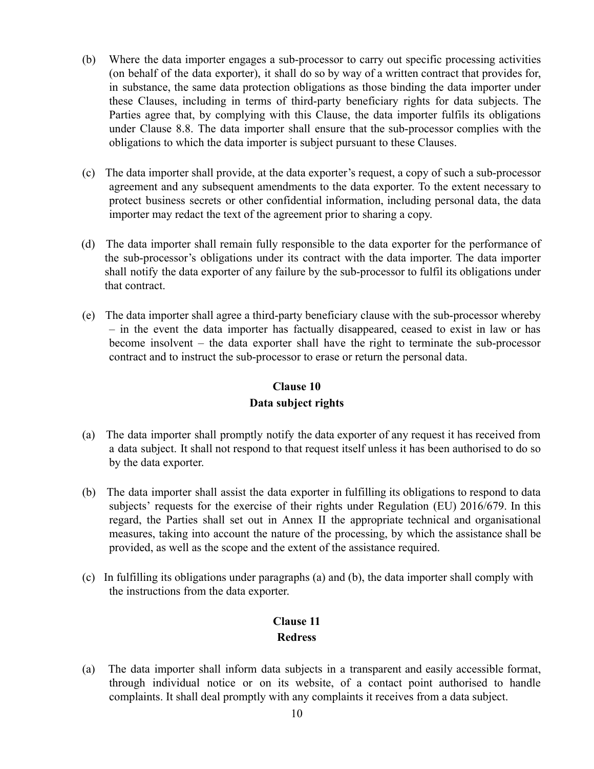- (b) Where the data importer engages a sub-processor to carry out specific processing activities (on behalf of the data exporter), it shall do so by way of a written contract that provides for, in substance, the same data protection obligations as those binding the data importer under these Clauses, including in terms of third-party beneficiary rights for data subjects. The Parties agree that, by complying with this Clause, the data importer fulfils its obligations under Clause 8.8. The data importer shall ensure that the sub-processor complies with the obligations to which the data importer is subject pursuant to these Clauses.
- (c) The data importer shall provide, at the data exporter's request, a copy of such a sub-processor agreement and any subsequent amendments to the data exporter. To the extent necessary to protect business secrets or other confidential information, including personal data, the data importer may redact the text of the agreement prior to sharing a copy.
- (d) The data importer shall remain fully responsible to the data exporter for the performance of the sub-processor's obligations under its contract with the data importer. The data importer shall notify the data exporter of any failure by the sub-processor to fulfil its obligations under that contract.
- (e) The data importer shall agree a third-party beneficiary clause with the sub-processor whereby – in the event the data importer has factually disappeared, ceased to exist in law or has become insolvent – the data exporter shall have the right to terminate the sub-processor contract and to instruct the sub-processor to erase or return the personal data.

# **Clause 10 Data subject rights**

- (a) The data importer shall promptly notify the data exporter of any request it has received from a data subject. It shall not respond to that request itself unless it has been authorised to do so by the data exporter.
- (b) The data importer shall assist the data exporter in fulfilling its obligations to respond to data subjects' requests for the exercise of their rights under Regulation (EU) 2016/679. In this regard, the Parties shall set out in Annex II the appropriate technical and organisational measures, taking into account the nature of the processing, by which the assistance shall be provided, as well as the scope and the extent of the assistance required.
- (c) In fulfilling its obligations under paragraphs (a) and (b), the data importer shall comply with the instructions from the data exporter.

# **Clause 11 Redress**

(a) The data importer shall inform data subjects in a transparent and easily accessible format, through individual notice or on its website, of a contact point authorised to handle complaints. It shall deal promptly with any complaints it receives from a data subject.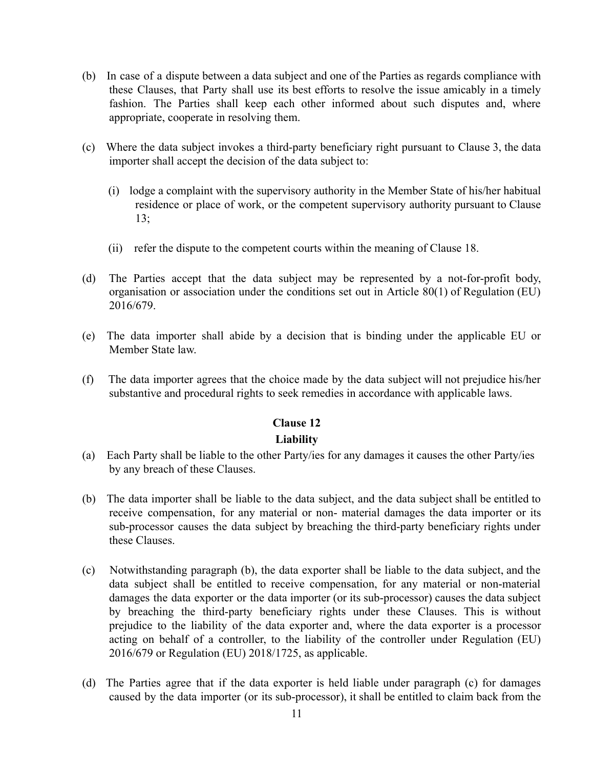- (b) In case of a dispute between a data subject and one of the Parties as regards compliance with these Clauses, that Party shall use its best efforts to resolve the issue amicably in a timely fashion. The Parties shall keep each other informed about such disputes and, where appropriate, cooperate in resolving them.
- (c) Where the data subject invokes a third-party beneficiary right pursuant to Clause 3, the data importer shall accept the decision of the data subject to:
	- (i) lodge a complaint with the supervisory authority in the Member State of his/her habitual residence or place of work, or the competent supervisory authority pursuant to Clause 13;
	- (ii) refer the dispute to the competent courts within the meaning of Clause 18.
- (d) The Parties accept that the data subject may be represented by a not-for-profit body, organisation or association under the conditions set out in Article 80(1) of Regulation (EU) 2016/679.
- (e) The data importer shall abide by a decision that is binding under the applicable EU or Member State law.
- (f) The data importer agrees that the choice made by the data subject will not prejudice his/her substantive and procedural rights to seek remedies in accordance with applicable laws.

# **Clause 12**

### **Liability**

- (a) Each Party shall be liable to the other Party/ies for any damages it causes the other Party/ies by any breach of these Clauses.
- (b) The data importer shall be liable to the data subject, and the data subject shall be entitled to receive compensation, for any material or non- material damages the data importer or its sub-processor causes the data subject by breaching the third-party beneficiary rights under these Clauses.
- (c) Notwithstanding paragraph (b), the data exporter shall be liable to the data subject, and the data subject shall be entitled to receive compensation, for any material or non-material damages the data exporter or the data importer (or its sub-processor) causes the data subject by breaching the third-party beneficiary rights under these Clauses. This is without prejudice to the liability of the data exporter and, where the data exporter is a processor acting on behalf of a controller, to the liability of the controller under Regulation (EU) 2016/679 or Regulation (EU) 2018/1725, as applicable.
- (d) The Parties agree that if the data exporter is held liable under paragraph (c) for damages caused by the data importer (or its sub-processor), it shall be entitled to claim back from the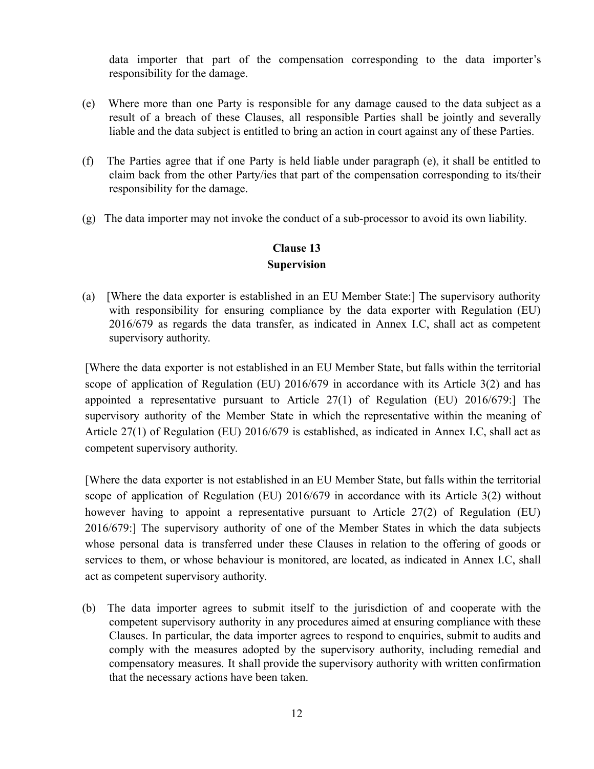data importer that part of the compensation corresponding to the data importer's responsibility for the damage.

- (e) Where more than one Party is responsible for any damage caused to the data subject as a result of a breach of these Clauses, all responsible Parties shall be jointly and severally liable and the data subject is entitled to bring an action in court against any of these Parties.
- (f) The Parties agree that if one Party is held liable under paragraph (e), it shall be entitled to claim back from the other Party/ies that part of the compensation corresponding to its/their responsibility for the damage.
- (g) The data importer may not invoke the conduct of a sub-processor to avoid its own liability.

### **Clause 13 Supervision**

(a) [Where the data exporter is established in an EU Member State:] The supervisory authority with responsibility for ensuring compliance by the data exporter with Regulation (EU) 2016/679 as regards the data transfer, as indicated in Annex I.C, shall act as competent supervisory authority.

[Where the data exporter is not established in an EU Member State, but falls within the territorial scope of application of Regulation (EU) 2016/679 in accordance with its Article 3(2) and has appointed a representative pursuant to Article 27(1) of Regulation (EU) 2016/679:] The supervisory authority of the Member State in which the representative within the meaning of Article 27(1) of Regulation (EU) 2016/679 is established, as indicated in Annex I.C, shall act as competent supervisory authority.

[Where the data exporter is not established in an EU Member State, but falls within the territorial scope of application of Regulation (EU) 2016/679 in accordance with its Article 3(2) without however having to appoint a representative pursuant to Article 27(2) of Regulation (EU) 2016/679:] The supervisory authority of one of the Member States in which the data subjects whose personal data is transferred under these Clauses in relation to the offering of goods or services to them, or whose behaviour is monitored, are located, as indicated in Annex I.C, shall act as competent supervisory authority.

(b) The data importer agrees to submit itself to the jurisdiction of and cooperate with the competent supervisory authority in any procedures aimed at ensuring compliance with these Clauses. In particular, the data importer agrees to respond to enquiries, submit to audits and comply with the measures adopted by the supervisory authority, including remedial and compensatory measures. It shall provide the supervisory authority with written confirmation that the necessary actions have been taken.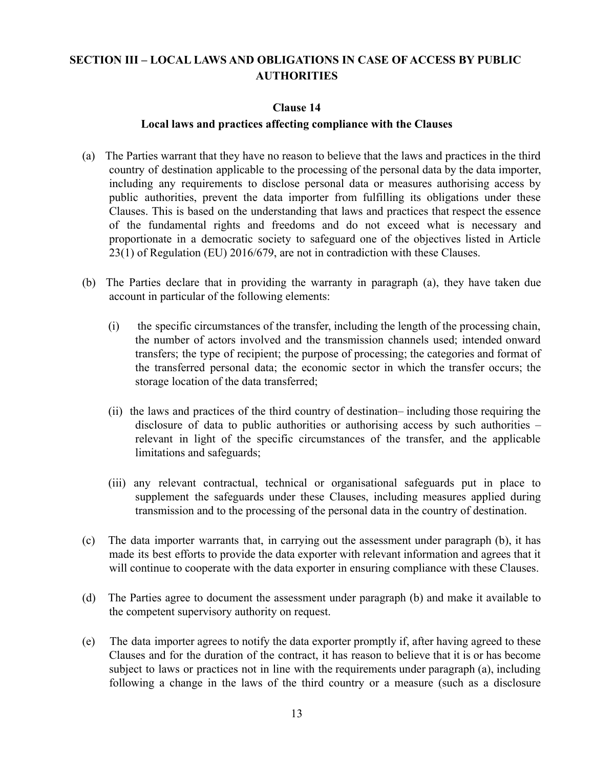# **SECTION III – LOCAL LAWS AND OBLIGATIONS IN CASE OF ACCESS BY PUBLIC AUTHORITIES**

#### **Clause 14**

#### **Local laws and practices affecting compliance with the Clauses**

- (a) The Parties warrant that they have no reason to believe that the laws and practices in the third country of destination applicable to the processing of the personal data by the data importer, including any requirements to disclose personal data or measures authorising access by public authorities, prevent the data importer from fulfilling its obligations under these Clauses. This is based on the understanding that laws and practices that respect the essence of the fundamental rights and freedoms and do not exceed what is necessary and proportionate in a democratic society to safeguard one of the objectives listed in Article 23(1) of Regulation (EU) 2016/679, are not in contradiction with these Clauses.
- (b) The Parties declare that in providing the warranty in paragraph (a), they have taken due account in particular of the following elements:
	- (i) the specific circumstances of the transfer, including the length of the processing chain, the number of actors involved and the transmission channels used; intended onward transfers; the type of recipient; the purpose of processing; the categories and format of the transferred personal data; the economic sector in which the transfer occurs; the storage location of the data transferred;
	- (ii) the laws and practices of the third country of destination– including those requiring the disclosure of data to public authorities or authorising access by such authorities – relevant in light of the specific circumstances of the transfer, and the applicable limitations and safeguards;
	- (iii) any relevant contractual, technical or organisational safeguards put in place to supplement the safeguards under these Clauses, including measures applied during transmission and to the processing of the personal data in the country of destination.
- (c) The data importer warrants that, in carrying out the assessment under paragraph (b), it has made its best efforts to provide the data exporter with relevant information and agrees that it will continue to cooperate with the data exporter in ensuring compliance with these Clauses.
- (d) The Parties agree to document the assessment under paragraph (b) and make it available to the competent supervisory authority on request.
- (e) The data importer agrees to notify the data exporter promptly if, after having agreed to these Clauses and for the duration of the contract, it has reason to believe that it is or has become subject to laws or practices not in line with the requirements under paragraph (a), including following a change in the laws of the third country or a measure (such as a disclosure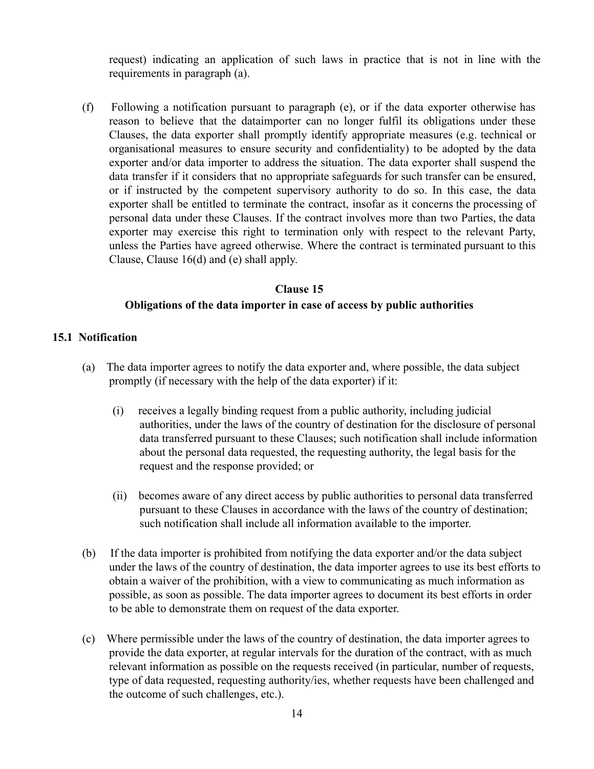request) indicating an application of such laws in practice that is not in line with the requirements in paragraph (a).

(f) Following a notification pursuant to paragraph (e), or if the data exporter otherwise has reason to believe that the dataimporter can no longer fulfil its obligations under these Clauses, the data exporter shall promptly identify appropriate measures (e.g. technical or organisational measures to ensure security and confidentiality) to be adopted by the data exporter and/or data importer to address the situation. The data exporter shall suspend the data transfer if it considers that no appropriate safeguards for such transfer can be ensured, or if instructed by the competent supervisory authority to do so. In this case, the data exporter shall be entitled to terminate the contract, insofar as it concerns the processing of personal data under these Clauses. If the contract involves more than two Parties, the data exporter may exercise this right to termination only with respect to the relevant Party, unless the Parties have agreed otherwise. Where the contract is terminated pursuant to this Clause, Clause 16(d) and (e) shall apply.

### **Clause 15 Obligations of the data importer in case of access by public authorities**

#### **15.1 Notification**

- (a) The data importer agrees to notify the data exporter and, where possible, the data subject promptly (if necessary with the help of the data exporter) if it:
	- (i) receives a legally binding request from a public authority, including judicial authorities, under the laws of the country of destination for the disclosure of personal data transferred pursuant to these Clauses; such notification shall include information about the personal data requested, the requesting authority, the legal basis for the request and the response provided; or
	- (ii) becomes aware of any direct access by public authorities to personal data transferred pursuant to these Clauses in accordance with the laws of the country of destination; such notification shall include all information available to the importer.
- (b) If the data importer is prohibited from notifying the data exporter and/or the data subject under the laws of the country of destination, the data importer agrees to use its best efforts to obtain a waiver of the prohibition, with a view to communicating as much information as possible, as soon as possible. The data importer agrees to document its best efforts in order to be able to demonstrate them on request of the data exporter.
- (c) Where permissible under the laws of the country of destination, the data importer agrees to provide the data exporter, at regular intervals for the duration of the contract, with as much relevant information as possible on the requests received (in particular, number of requests, type of data requested, requesting authority/ies, whether requests have been challenged and the outcome of such challenges, etc.).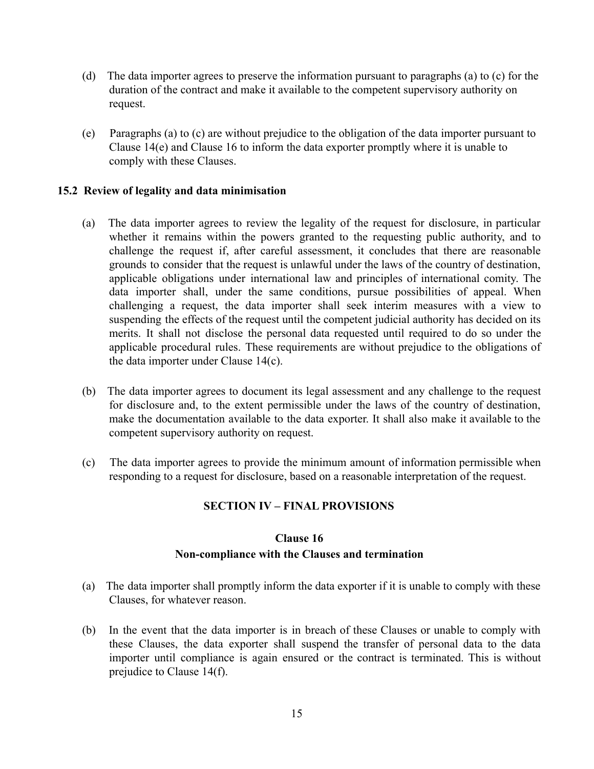- (d) The data importer agrees to preserve the information pursuant to paragraphs (a) to (c) for the duration of the contract and make it available to the competent supervisory authority on request.
- (e) Paragraphs (a) to (c) are without prejudice to the obligation of the data importer pursuant to Clause 14(e) and Clause 16 to inform the data exporter promptly where it is unable to comply with these Clauses.

#### **15.2 Review of legality and data minimisation**

- (a) The data importer agrees to review the legality of the request for disclosure, in particular whether it remains within the powers granted to the requesting public authority, and to challenge the request if, after careful assessment, it concludes that there are reasonable grounds to consider that the request is unlawful under the laws of the country of destination, applicable obligations under international law and principles of international comity. The data importer shall, under the same conditions, pursue possibilities of appeal. When challenging a request, the data importer shall seek interim measures with a view to suspending the effects of the request until the competent judicial authority has decided on its merits. It shall not disclose the personal data requested until required to do so under the applicable procedural rules. These requirements are without prejudice to the obligations of the data importer under Clause 14(c).
- (b) The data importer agrees to document its legal assessment and any challenge to the request for disclosure and, to the extent permissible under the laws of the country of destination, make the documentation available to the data exporter. It shall also make it available to the competent supervisory authority on request.
- (c) The data importer agrees to provide the minimum amount of information permissible when responding to a request for disclosure, based on a reasonable interpretation of the request.

### **SECTION IV – FINAL PROVISIONS**

#### **Clause 16**

#### **Non-compliance with the Clauses and termination**

- (a) The data importer shall promptly inform the data exporter if it is unable to comply with these Clauses, for whatever reason.
- (b) In the event that the data importer is in breach of these Clauses or unable to comply with these Clauses, the data exporter shall suspend the transfer of personal data to the data importer until compliance is again ensured or the contract is terminated. This is without prejudice to Clause 14(f).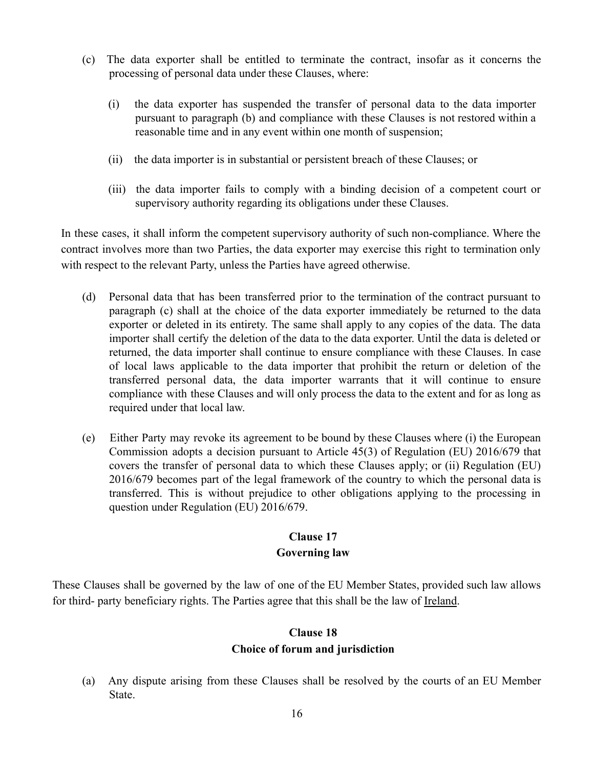- (c) The data exporter shall be entitled to terminate the contract, insofar as it concerns the processing of personal data under these Clauses, where:
	- (i) the data exporter has suspended the transfer of personal data to the data importer pursuant to paragraph (b) and compliance with these Clauses is not restored within a reasonable time and in any event within one month of suspension;
	- (ii) the data importer is in substantial or persistent breach of these Clauses; or
	- (iii) the data importer fails to comply with a binding decision of a competent court or supervisory authority regarding its obligations under these Clauses.

In these cases, it shall inform the competent supervisory authority of such non-compliance. Where the contract involves more than two Parties, the data exporter may exercise this right to termination only with respect to the relevant Party, unless the Parties have agreed otherwise.

- (d) Personal data that has been transferred prior to the termination of the contract pursuant to paragraph (c) shall at the choice of the data exporter immediately be returned to the data exporter or deleted in its entirety. The same shall apply to any copies of the data. The data importer shall certify the deletion of the data to the data exporter. Until the data is deleted or returned, the data importer shall continue to ensure compliance with these Clauses. In case of local laws applicable to the data importer that prohibit the return or deletion of the transferred personal data, the data importer warrants that it will continue to ensure compliance with these Clauses and will only process the data to the extent and for as long as required under that local law.
- (e) Either Party may revoke its agreement to be bound by these Clauses where (i) the European Commission adopts a decision pursuant to Article 45(3) of Regulation (EU) 2016/679 that covers the transfer of personal data to which these Clauses apply; or (ii) Regulation (EU) 2016/679 becomes part of the legal framework of the country to which the personal data is transferred. This is without prejudice to other obligations applying to the processing in question under Regulation (EU) 2016/679.

### **Clause 17**

### **Governing law**

These Clauses shall be governed by the law of one of the EU Member States, provided such law allows for third- party beneficiary rights. The Parties agree that this shall be the law of Ireland.

### **Clause 18**

#### **Choice of forum and jurisdiction**

(a) Any dispute arising from these Clauses shall be resolved by the courts of an EU Member State.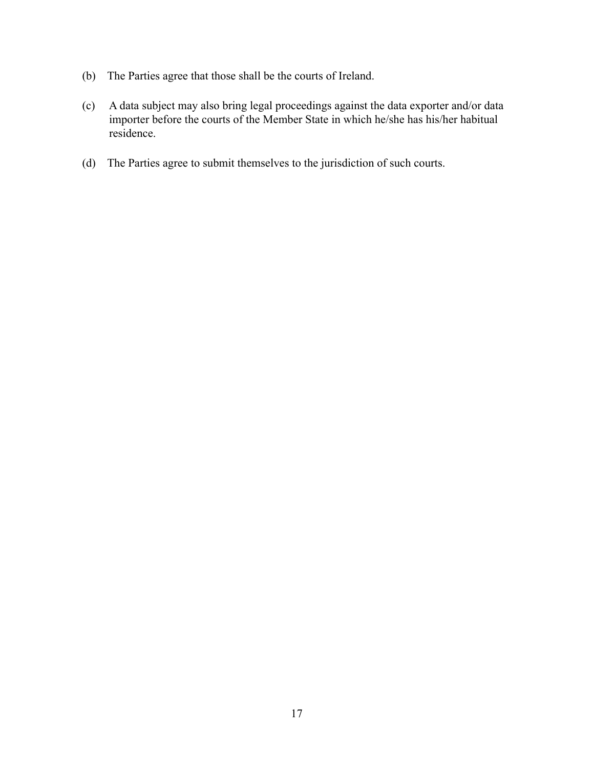- (b) The Parties agree that those shall be the courts of Ireland.
- (c) A data subject may also bring legal proceedings against the data exporter and/or data importer before the courts of the Member State in which he/she has his/her habitual residence.
- (d) The Parties agree to submit themselves to the jurisdiction of such courts.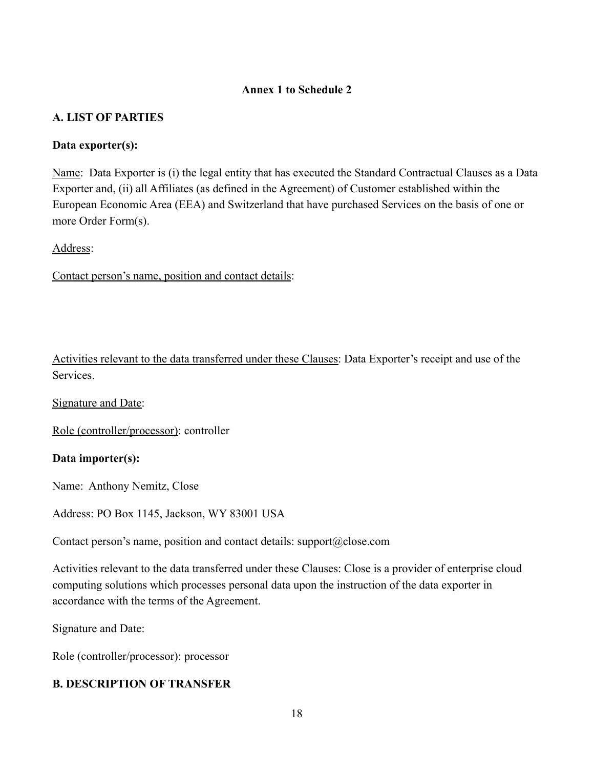### **Annex 1 to Schedule 2**

# **A. LIST OF PARTIES**

# **Data exporter(s):**

Name: Data Exporter is (i) the legal entity that has executed the Standard Contractual Clauses as a Data Exporter and, (ii) all Affiliates (as defined in the Agreement) of Customer established within the European Economic Area (EEA) and Switzerland that have purchased Services on the basis of one or more Order Form(s).

# Address:

Contact person's name, position and contact details:

Activities relevant to the data transferred under these Clauses: Data Exporter's receipt and use of the **Services** 

Signature and Date:

Role (controller/processor): controller

# **Data importer(s):**

Name: Anthony Nemitz, Close

Address: PO Box 1145, Jackson, WY 83001 USA

Contact person's name, position and contact details: support $(a)$ close.com

Activities relevant to the data transferred under these Clauses: Close is a provider of enterprise cloud computing solutions which processes personal data upon the instruction of the data exporter in accordance with the terms of the Agreement.

Signature and Date:

Role (controller/processor): processor

# **B. DESCRIPTION OF TRANSFER**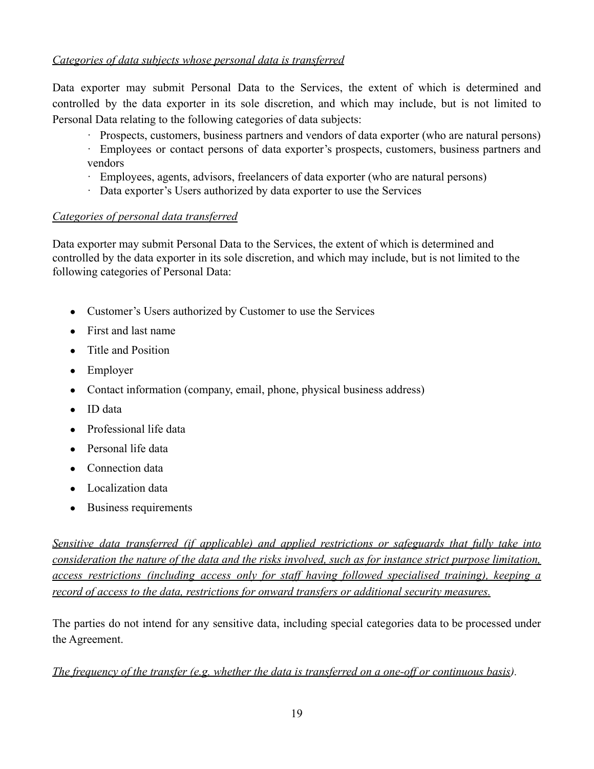Data exporter may submit Personal Data to the Services, the extent of which is determined and controlled by the data exporter in its sole discretion, and which may include, but is not limited to Personal Data relating to the following categories of data subjects:

- · Prospects, customers, business partners and vendors of data exporter (who are natural persons)
- · Employees or contact persons of data exporter's prospects, customers, business partners and vendors
- · Employees, agents, advisors, freelancers of data exporter (who are natural persons)
- · Data exporter's Users authorized by data exporter to use the Services

### *Categories of personal data transferred*

Data exporter may submit Personal Data to the Services, the extent of which is determined and controlled by the data exporter in its sole discretion, and which may include, but is not limited to the following categories of Personal Data:

- Customer's Users authorized by Customer to use the Services
- **First and last name**
- Title and Position
- Employer
- Contact information (company, email, phone, physical business address)
- ID data
- Professional life data
- Personal life data
- Connection data
- Localization data
- Business requirements

*Sensitive data transferred (if applicable) and applied restrictions or safeguards that fully take into* consideration the nature of the data and the risks involved, such as for instance strict purpose limitation, *access restrictions (including access only for staff having followed specialised training), keeping a record of access to the data, restrictions for onward transfers or additional security measures.*

The parties do not intend for any sensitive data, including special categories data to be processed under the Agreement.

*The frequency of the transfer (e.g. whether the data is transferred on a one-off or continuous basis).*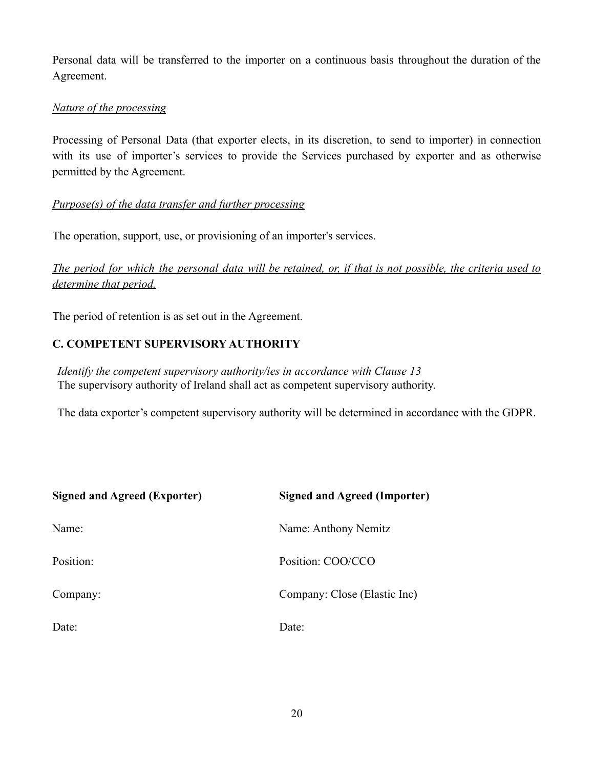Personal data will be transferred to the importer on a continuous basis throughout the duration of the Agreement.

### *Nature of the processing*

Processing of Personal Data (that exporter elects, in its discretion, to send to importer) in connection with its use of importer's services to provide the Services purchased by exporter and as otherwise permitted by the Agreement.

### *Purpose(s) of the data transfer and further processing*

The operation, support, use, or provisioning of an importer's services.

The period for which the personal data will be retained, or, if that is not possible, the criteria used to *determine that period.*

The period of retention is as set out in the Agreement.

# **C. COMPETENT SUPERVISORY AUTHORITY**

*Identify the competent supervisory authority/ies in accordance with Clause 13* The supervisory authority of Ireland shall act as competent supervisory authority.

The data exporter's competent supervisory authority will be determined in accordance with the GDPR.

| <b>Signed and Agreed (Exporter)</b> | <b>Signed and Agreed (Importer)</b> |
|-------------------------------------|-------------------------------------|
| Name:                               | Name: Anthony Nemitz                |
| Position:                           | Position: COO/CCO                   |
| Company:                            | Company: Close (Elastic Inc)        |
| Date:                               | Date:                               |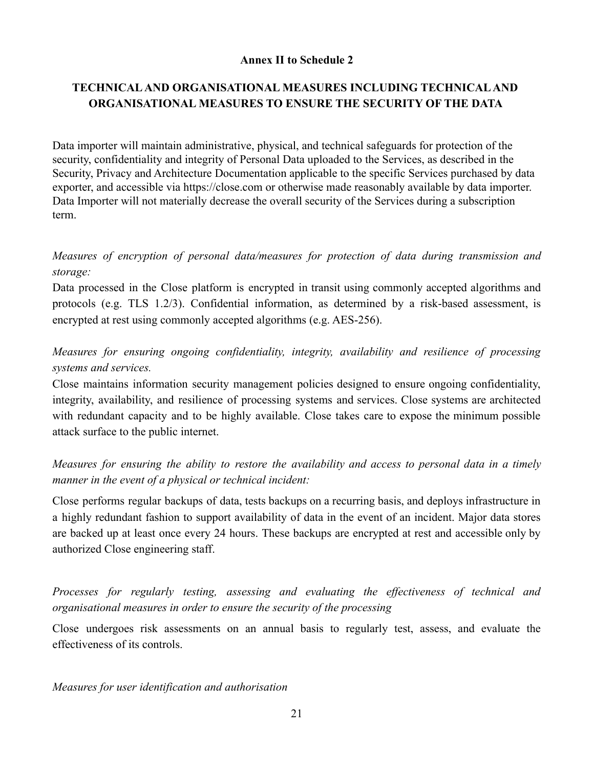### **Annex II to Schedule 2**

# **TECHNICALAND ORGANISATIONAL MEASURES INCLUDING TECHNICALAND ORGANISATIONAL MEASURES TO ENSURE THE SECURITY OF THE DATA**

Data importer will maintain administrative, physical, and technical safeguards for protection of the security, confidentiality and integrity of Personal Data uploaded to the Services, as described in the Security, Privacy and Architecture Documentation applicable to the specific Services purchased by data exporter, and accessible via https://close.com or otherwise made reasonably available by data importer. Data Importer will not materially decrease the overall security of the Services during a subscription term.

*Measures of encryption of personal data/measures for protection of data during transmission and storage:*

Data processed in the Close platform is encrypted in transit using commonly accepted algorithms and protocols (e.g. TLS 1.2/3). Confidential information, as determined by a risk-based assessment, is encrypted at rest using commonly accepted algorithms (e.g. AES-256).

*Measures for ensuring ongoing confidentiality, integrity, availability and resilience of processing systems and services.*

Close maintains information security management policies designed to ensure ongoing confidentiality, integrity, availability, and resilience of processing systems and services. Close systems are architected with redundant capacity and to be highly available. Close takes care to expose the minimum possible attack surface to the public internet.

*Measures for ensuring the ability to restore the availability and access to personal data in a timely manner in the event of a physical or technical incident:*

Close performs regular backups of data, tests backups on a recurring basis, and deploys infrastructure in a highly redundant fashion to support availability of data in the event of an incident. Major data stores are backed up at least once every 24 hours. These backups are encrypted at rest and accessible only by authorized Close engineering staff.

*Processes for regularly testing, assessing and evaluating the effectiveness of technical and organisational measures in order to ensure the security of the processing*

Close undergoes risk assessments on an annual basis to regularly test, assess, and evaluate the effectiveness of its controls.

*Measures for user identification and authorisation*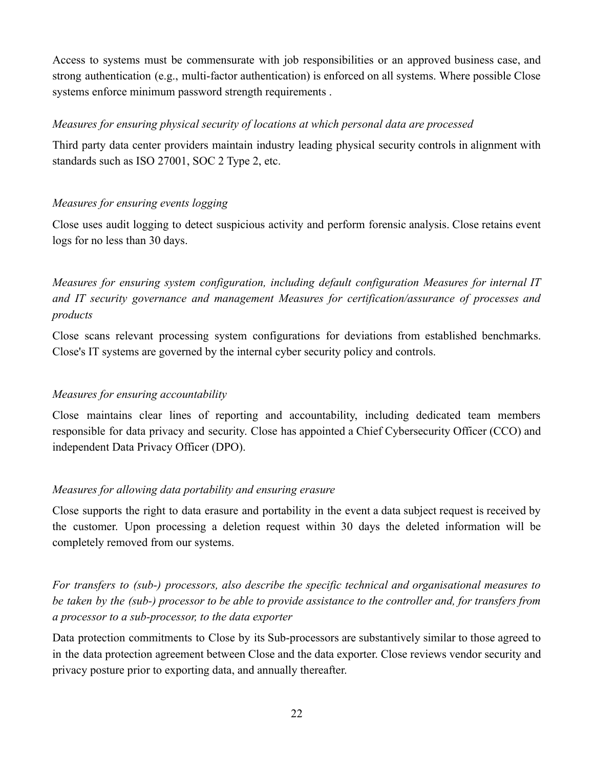Access to systems must be commensurate with job responsibilities or an approved business case, and strong authentication (e.g., multi-factor authentication) is enforced on all systems. Where possible Close systems enforce minimum password strength requirements .

### *Measures for ensuring physical security of locations at which personal data are processed*

Third party data center providers maintain industry leading physical security controls in alignment with standards such as ISO 27001, SOC 2 Type 2, etc.

### *Measures for ensuring events logging*

Close uses audit logging to detect suspicious activity and perform forensic analysis. Close retains event logs for no less than 30 days.

*Measures for ensuring system configuration, including default configuration Measures for internal IT and IT security governance and management Measures for certification/assurance of processes and products*

Close scans relevant processing system configurations for deviations from established benchmarks. Close's IT systems are governed by the internal cyber security policy and controls.

### *Measures for ensuring accountability*

Close maintains clear lines of reporting and accountability, including dedicated team members responsible for data privacy and security. Close has appointed a Chief Cybersecurity Officer (CCO) and independent Data Privacy Officer (DPO).

### *Measures for allowing data portability and ensuring erasure*

Close supports the right to data erasure and portability in the event a data subject request is received by the customer. Upon processing a deletion request within 30 days the deleted information will be completely removed from our systems.

*For transfers to (sub-) processors, also describe the specific technical and organisational measures to* be taken by the (sub-) processor to be able to provide assistance to the controller and, for transfers from *a processor to a sub-processor, to the data exporter*

Data protection commitments to Close by its Sub-processors are substantively similar to those agreed to in the data protection agreement between Close and the data exporter. Close reviews vendor security and privacy posture prior to exporting data, and annually thereafter.